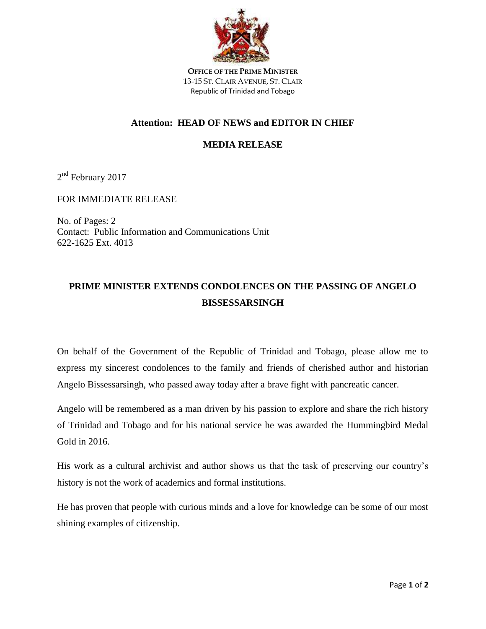

**OFFICE OF THE PRIME MINISTER** 13-15 ST. CLAIR AVENUE, ST. CLAIR Republic of Trinidad and Tobago

## **Attention: HEAD OF NEWS and EDITOR IN CHIEF**

## **MEDIA RELEASE**

2<sup>nd</sup> February 2017

FOR IMMEDIATE RELEASE

No. of Pages: 2 Contact: Public Information and Communications Unit 622-1625 Ext. 4013

## **PRIME MINISTER EXTENDS CONDOLENCES ON THE PASSING OF ANGELO BISSESSARSINGH**

On behalf of the Government of the Republic of Trinidad and Tobago, please allow me to express my sincerest condolences to the family and friends of cherished author and historian Angelo Bissessarsingh, who passed away today after a brave fight with pancreatic cancer.

Angelo will be remembered as a man driven by his passion to explore and share the rich history of Trinidad and Tobago and for his national service he was awarded the Hummingbird Medal Gold in 2016.

His work as a cultural archivist and author shows us that the task of preserving our country's history is not the work of academics and formal institutions.

He has proven that people with curious minds and a love for knowledge can be some of our most shining examples of citizenship.